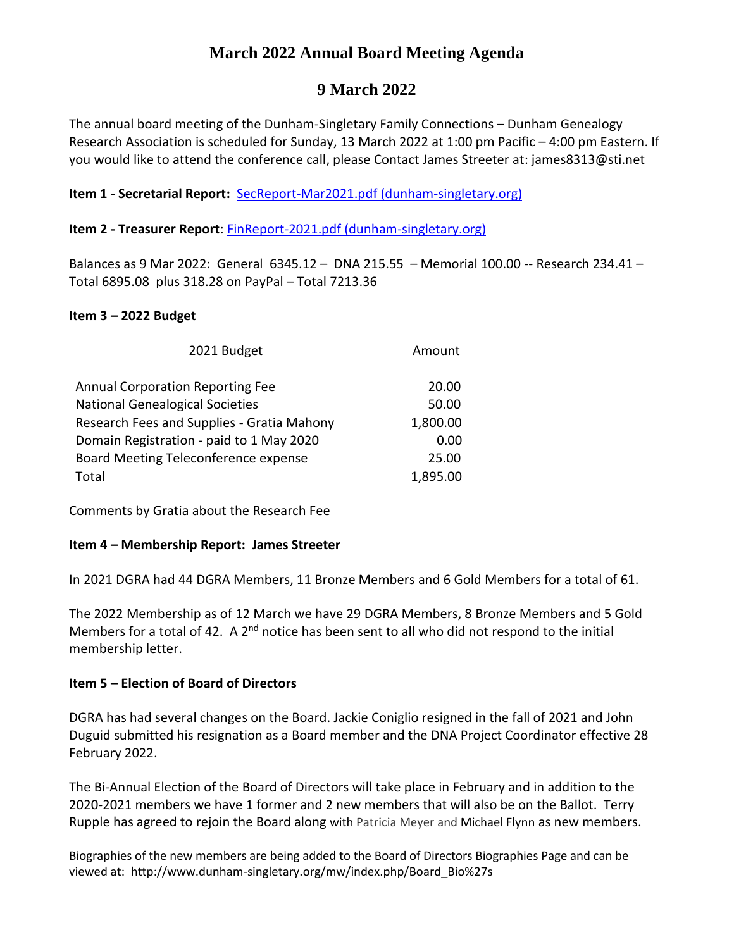# **March 2022 Annual Board Meeting Agenda**

# **9 March 2022**

The annual board meeting of the Dunham-Singletary Family Connections – Dunham Genealogy Research Association is scheduled for Sunday, 13 March 2022 at 1:00 pm Pacific – 4:00 pm Eastern. If you would like to attend the conference call, please Contact James Streeter at: james8313@sti.net

# **Item 1** - **Secretarial Report:** [SecReport-Mar2021.pdf \(dunham-singletary.org\)](http://www.dunham-singletary.org/mw/images/4/4d/SecReport-Mar2021.pdf)

## **Item 2 - Treasurer Report**: [FinReport-2021.pdf \(dunham-singletary.org\)](http://www.dunham-singletary.org/mw/images/4/43/FinReport-2021.pdf)

Balances as 9 Mar 2022: General 6345.12 – DNA 215.55 – Memorial 100.00 -- Research 234.41 – Total 6895.08 plus 318.28 on PayPal – Total 7213.36

### **Item 3 – 2022 Budget**

| 2021 Budget                                | Amount   |
|--------------------------------------------|----------|
| <b>Annual Corporation Reporting Fee</b>    | 20.00    |
| <b>National Genealogical Societies</b>     | 50.00    |
| Research Fees and Supplies - Gratia Mahony | 1,800.00 |
| Domain Registration - paid to 1 May 2020   | 0.00     |
| Board Meeting Teleconference expense       | 25.00    |
| Total                                      | 1,895.00 |

Comments by Gratia about the Research Fee

### **Item 4 – Membership Report: James Streeter**

In 2021 DGRA had 44 DGRA Members, 11 Bronze Members and 6 Gold Members for a total of 61.

The 2022 Membership as of 12 March we have 29 DGRA Members, 8 Bronze Members and 5 Gold Members for a total of 42. A 2<sup>nd</sup> notice has been sent to all who did not respond to the initial membership letter.

### **Item 5** – **Election of Board of Directors**

DGRA has had several changes on the Board. Jackie Coniglio resigned in the fall of 2021 and John Duguid submitted his resignation as a Board member and the DNA Project Coordinator effective 28 February 2022.

The Bi-Annual Election of the Board of Directors will take place in February and in addition to the 2020-2021 members we have 1 former and 2 new members that will also be on the Ballot. Terry Rupple has agreed to rejoin the Board along with Patricia Meyer and Michael Flynn as new members.

Biographies of the new members are being added to the Board of Directors Biographies Page and can be viewed at: http://www.dunham-singletary.org/mw/index.php/Board\_Bio%27s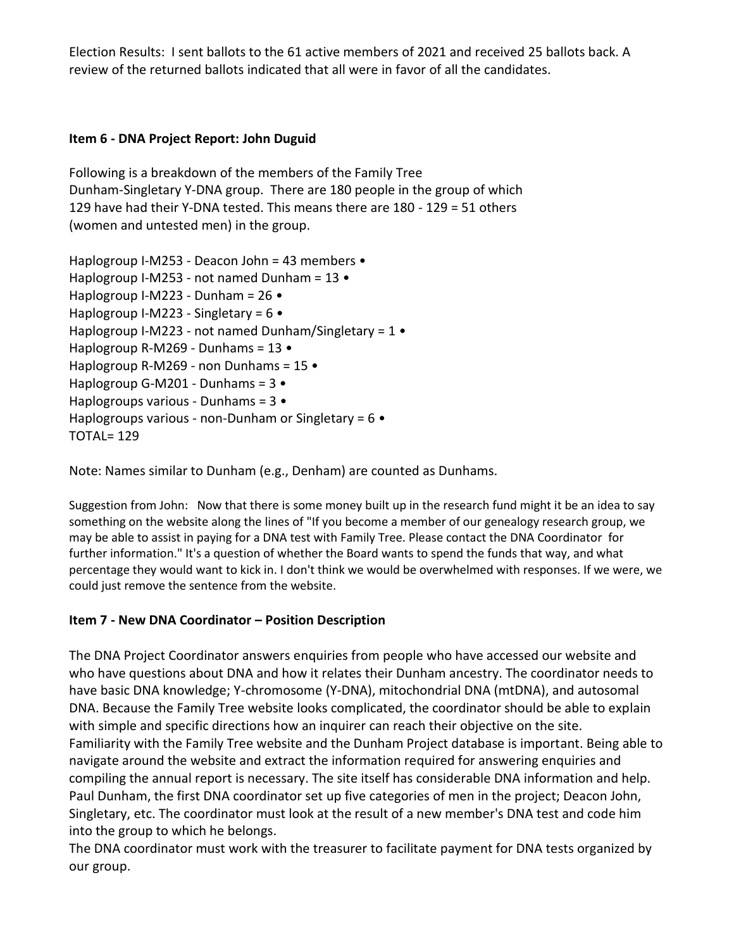Election Results: I sent ballots to the 61 active members of 2021 and received 25 ballots back. A review of the returned ballots indicated that all were in favor of all the candidates.

# **Item 6 - DNA Project Report: John Duguid**

Following is a breakdown of the members of the Family Tree Dunham-Singletary Y-DNA group. There are 180 people in the group of which 129 have had their Y-DNA tested. This means there are 180 - 129 = 51 others (women and untested men) in the group.

Haplogroup I-M253 - Deacon John = 43 members • Haplogroup I-M253 - not named Dunham = 13 • Haplogroup I-M223 - Dunham = 26 • Haplogroup I-M223 - Singletary = 6 • Haplogroup I-M223 - not named Dunham/Singletary =  $1 \cdot$ Haplogroup R-M269 - Dunhams = 13 • Haplogroup R-M269 - non Dunhams = 15 • Haplogroup G-M201 - Dunhams = 3 • Haplogroups various - Dunhams = 3 • Haplogroups various - non-Dunham or Singletary =  $6 \cdot$ TOTAL= 129

Note: Names similar to Dunham (e.g., Denham) are counted as Dunhams.

Suggestion from John: Now that there is some money built up in the research fund might it be an idea to say something on the website along the lines of "If you become a member of our genealogy research group, we may be able to assist in paying for a DNA test with Family Tree. Please contact the DNA Coordinator for further information." It's a question of whether the Board wants to spend the funds that way, and what percentage they would want to kick in. I don't think we would be overwhelmed with responses. If we were, we could just remove the sentence from the website.

# **Item 7 - New DNA Coordinator – Position Description**

The DNA Project Coordinator answers enquiries from people who have accessed our website and who have questions about DNA and how it relates their Dunham ancestry. The coordinator needs to have basic DNA knowledge; Y-chromosome (Y-DNA), mitochondrial DNA (mtDNA), and autosomal DNA. Because the Family Tree website looks complicated, the coordinator should be able to explain with simple and specific directions how an inquirer can reach their objective on the site. Familiarity with the Family Tree website and the Dunham Project database is important. Being able to navigate around the website and extract the information required for answering enquiries and compiling the annual report is necessary. The site itself has considerable DNA information and help. Paul Dunham, the first DNA coordinator set up five categories of men in the project; Deacon John, Singletary, etc. The coordinator must look at the result of a new member's DNA test and code him into the group to which he belongs.

The DNA coordinator must work with the treasurer to facilitate payment for DNA tests organized by our group.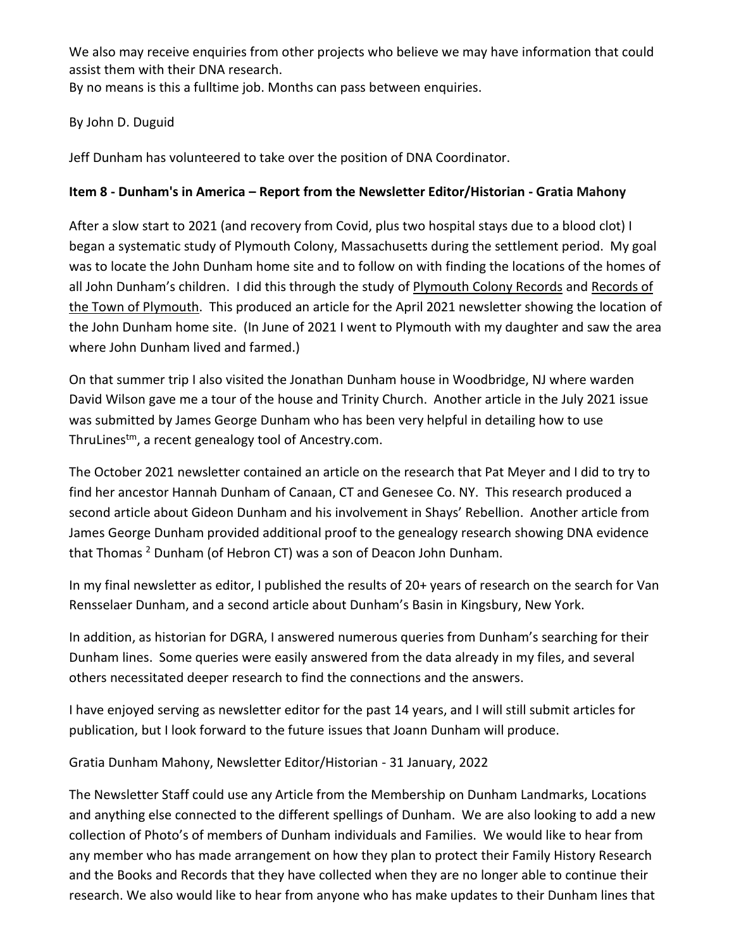We also may receive enquiries from other projects who believe we may have information that could assist them with their DNA research.

By no means is this a fulltime job. Months can pass between enquiries.

# By John D. Duguid

Jeff Dunham has volunteered to take over the position of DNA Coordinator.

# **Item 8 - Dunham's in America – Report from the Newsletter Editor/Historian - Gratia Mahony**

After a slow start to 2021 (and recovery from Covid, plus two hospital stays due to a blood clot) I began a systematic study of Plymouth Colony, Massachusetts during the settlement period. My goal was to locate the John Dunham home site and to follow on with finding the locations of the homes of all John Dunham's children. I did this through the study of Plymouth Colony Records and Records of the Town of Plymouth. This produced an article for the April 2021 newsletter showing the location of the John Dunham home site. (In June of 2021 I went to Plymouth with my daughter and saw the area where John Dunham lived and farmed.)

On that summer trip I also visited the Jonathan Dunham house in Woodbridge, NJ where warden David Wilson gave me a tour of the house and Trinity Church. Another article in the July 2021 issue was submitted by James George Dunham who has been very helpful in detailing how to use ThruLinestm, a recent genealogy tool of Ancestry.com.

The October 2021 newsletter contained an article on the research that Pat Meyer and I did to try to find her ancestor Hannah Dunham of Canaan, CT and Genesee Co. NY. This research produced a second article about Gideon Dunham and his involvement in Shays' Rebellion. Another article from James George Dunham provided additional proof to the genealogy research showing DNA evidence that Thomas<sup>2</sup> Dunham (of Hebron CT) was a son of Deacon John Dunham.

In my final newsletter as editor, I published the results of 20+ years of research on the search for Van Rensselaer Dunham, and a second article about Dunham's Basin in Kingsbury, New York.

In addition, as historian for DGRA, I answered numerous queries from Dunham's searching for their Dunham lines. Some queries were easily answered from the data already in my files, and several others necessitated deeper research to find the connections and the answers.

I have enjoyed serving as newsletter editor for the past 14 years, and I will still submit articles for publication, but I look forward to the future issues that Joann Dunham will produce.

Gratia Dunham Mahony, Newsletter Editor/Historian - 31 January, 2022

The Newsletter Staff could use any Article from the Membership on Dunham Landmarks, Locations and anything else connected to the different spellings of Dunham. We are also looking to add a new collection of Photo's of members of Dunham individuals and Families. We would like to hear from any member who has made arrangement on how they plan to protect their Family History Research and the Books and Records that they have collected when they are no longer able to continue their research. We also would like to hear from anyone who has make updates to their Dunham lines that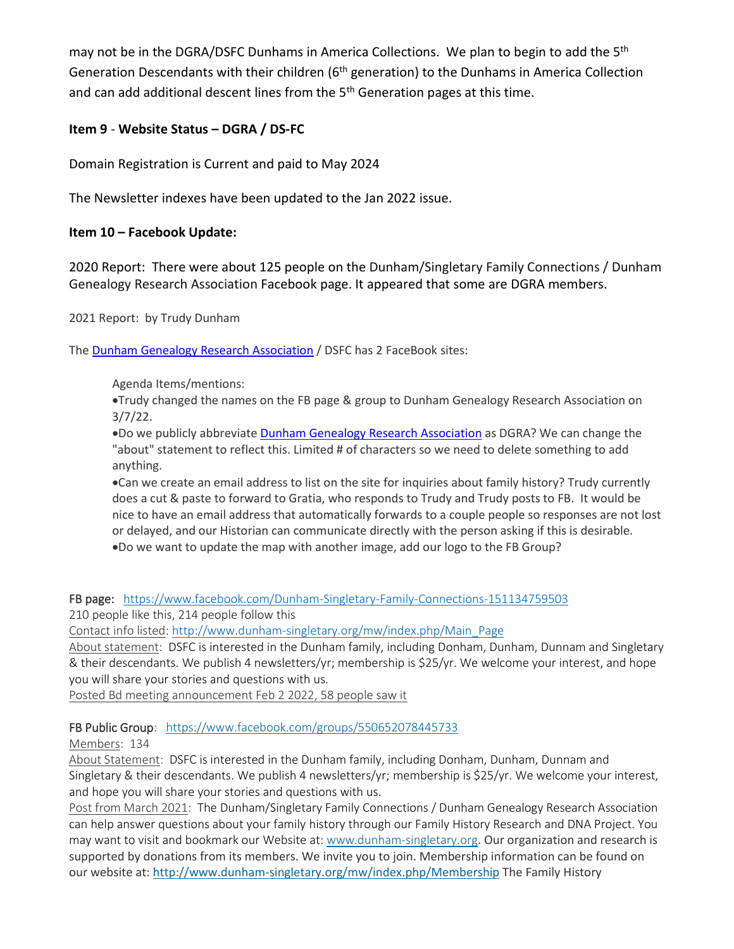may not be in the DGRA/DSFC Dunhams in America Collections. We plan to begin to add the 5<sup>th</sup> Generation Descendants with their children (6<sup>th</sup> generation) to the Dunhams in America Collection and can add additional descent lines from the  $5<sup>th</sup>$  Generation pages at this time.

## **Item 9** - **Website Status – DGRA / DS-FC**

Domain Registration is Current and paid to May 2024

The Newsletter indexes have been updated to the Jan 2022 issue.

## **Item 10 – Facebook Update:**

2020 Report: There were about 125 people on the Dunham/Singletary Family Connections / Dunham Genealogy Research Association Facebook page. It appeared that some are DGRA members.

2021 Report: by Trudy Dunham

The Dunham Genealogy Research [Association](https://www.facebook.com/groups/550652078445733/) / DSFC has 2 FaceBook sites:

Agenda Items/mentions:

•Trudy changed the names on the FB page & group to Dunham Genealogy Research Association on 3/7/22.

•Do we publicly abbreviate Dunham Genealogy Research [Association](https://www.facebook.com/groups/550652078445733/) as DGRA? We can change the "about" statement to reflect this. Limited # of characters so we need to delete something to add anything.

•Can we create an email address to list on the site for inquiries about family history? Trudy currently does a cut & paste to forward to Gratia, who responds to Trudy and Trudy posts to FB. It would be nice to have an email address that automatically forwards to a couple people so responses are not lost or delayed, and our Historian can communicate directly with the person asking if this is desirable. •Do we want to update the map with another image, add our logo to the FB Group?

FB page: <https://www.facebook.com/Dunham-Singletary-Family-Connections-151134759503>

210 people like this, 214 people follow this

Contact info listed: [http://www.dunham-singletary.org/mw/index.php/Main\\_Page](http://www.dunham-singletary.org/mw/index.php/Main_Page?fbclid=IwAR0GC6SFDRcQ7RA3EkiiK2zX79c3Vpp-toAhL5iVgSJBxKMPYyLlWkYgncw)

About statement: DSFC is interested in the Dunham family, including Donham, Dunham, Dunnam and Singletary & their descendants. We publish 4 newsletters/yr; membership is \$25/yr. We welcome your interest, and hope you will share your stories and questions with us.

Posted Bd meeting announcement Feb 2 2022, 58 people saw it

### FB Public Group: <https://www.facebook.com/groups/550652078445733>

Members: 134

About Statement: DSFC is interested in the Dunham family, including Donham, Dunham, Dunnam and Singletary & their descendants. We publish 4 newsletters/yr; membership is \$25/yr. We welcome your interest, and hope you will share your stories and questions with us.

Post from March 2021: The Dunham/Singletary Family Connections / Dunham Genealogy Research Association can help answer questions about your family history through our Family History Research and DNA Project. You may want to visit and bookmark our Website at: [www.dunham-singletary.org](http://www.dunham-singletary.org/?fbclid=IwAR1F7av-zNOgkvmAV6X3Lxy1E2eLQVqPk2Exwco9af38wffjvChObCKQpVI). Our organization and research is supported by donations from its members. We invite you to join. Membership information can be found on our website at[: http://www.dunham-singletary.org/mw/index.php/Membership](https://l.facebook.com/l.php?u=http%3A%2F%2Fwww.dunham-singletary.org%2Fmw%2Findex.php%2FMembership%3Ffbclid%3DIwAR0iCV_YhIf-D760uCRaKveMuQZ4Awgp0wCgpSBsayo5aoK-cVdXvxoQbNM&h=AT0w4EDVbRZ--iTkrO7ICmcU2rkWFwIKJOZPWxgzpfH9hPdy_pYlBa8bgWGg-sioR09VGylYY5ROTMeQ2PNXnC0LDRh7FOlccn5zrZAI7PyIfGY7tFfGlKEpwCycZL2W1A&__tn__=-UK-R&c%5b0%5d=AT1qAkYTeVk_5rShP4ak1jUcvpNNfQrMXgKz2P5nNN5QW4IeU4IwnhP-54Xm2Lbt73gkCPHD_vAzTAqAQeOsiExycxPPUaWKt8ac1vc1NAM8O_qvyqE6k2EP9VxYQG1abQnwSYPqWZ4aIL2kMmLm9TEIURLHJHghGZFv-Hy3jhlakufRJnOLgoZv-A4cwNaJXqs2tBFMbSphuyfaQH4) The Family History